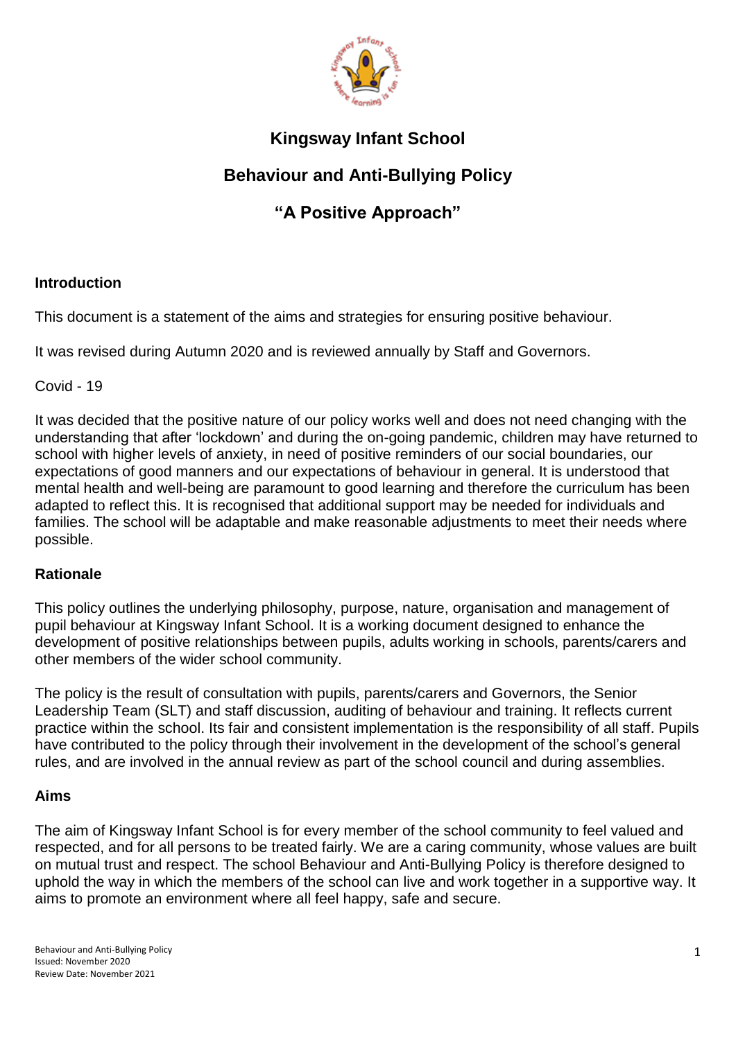

# **Kingsway Infant School**

# **Behaviour and Anti-Bullying Policy**

# **"A Positive Approach"**

# **Introduction**

This document is a statement of the aims and strategies for ensuring positive behaviour.

It was revised during Autumn 2020 and is reviewed annually by Staff and Governors.

Covid - 19

It was decided that the positive nature of our policy works well and does not need changing with the understanding that after 'lockdown' and during the on-going pandemic, children may have returned to school with higher levels of anxiety, in need of positive reminders of our social boundaries, our expectations of good manners and our expectations of behaviour in general. It is understood that mental health and well-being are paramount to good learning and therefore the curriculum has been adapted to reflect this. It is recognised that additional support may be needed for individuals and families. The school will be adaptable and make reasonable adjustments to meet their needs where possible.

# **Rationale**

This policy outlines the underlying philosophy, purpose, nature, organisation and management of pupil behaviour at Kingsway Infant School. It is a working document designed to enhance the development of positive relationships between pupils, adults working in schools, parents/carers and other members of the wider school community.

The policy is the result of consultation with pupils, parents/carers and Governors, the Senior Leadership Team (SLT) and staff discussion, auditing of behaviour and training. It reflects current practice within the school. Its fair and consistent implementation is the responsibility of all staff. Pupils have contributed to the policy through their involvement in the development of the school's general rules, and are involved in the annual review as part of the school council and during assemblies.

# **Aims**

The aim of Kingsway Infant School is for every member of the school community to feel valued and respected, and for all persons to be treated fairly. We are a caring community, whose values are built on mutual trust and respect. The school Behaviour and Anti-Bullying Policy is therefore designed to uphold the way in which the members of the school can live and work together in a supportive way. It aims to promote an environment where all feel happy, safe and secure.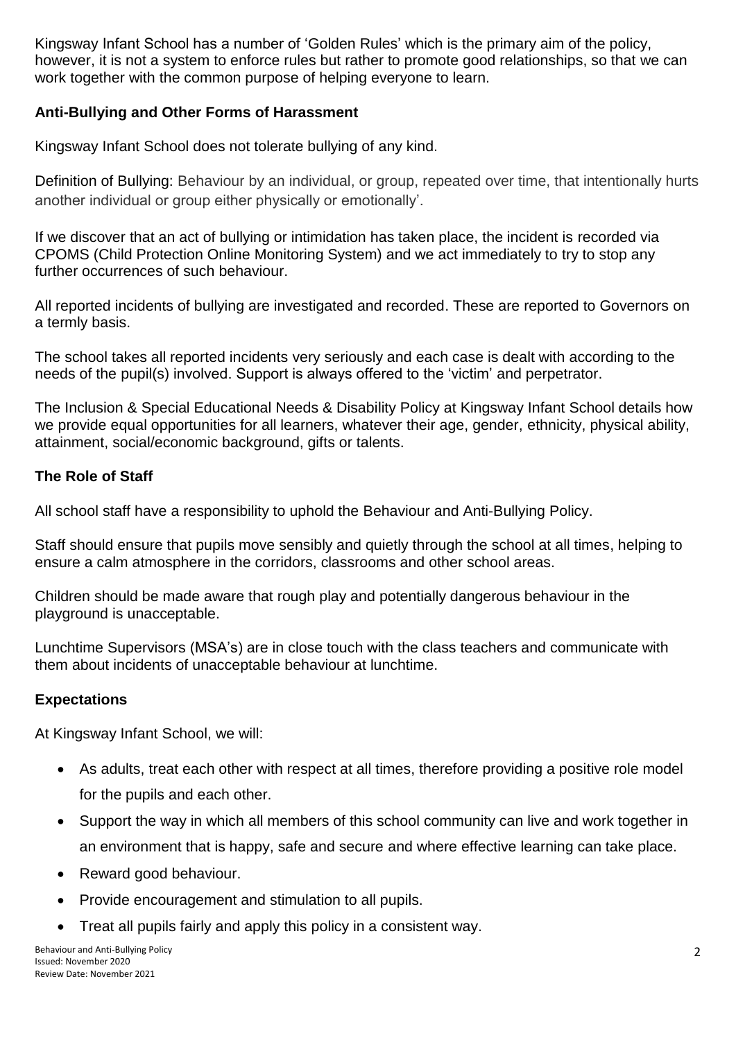Kingsway Infant School has a number of 'Golden Rules' which is the primary aim of the policy, however, it is not a system to enforce rules but rather to promote good relationships, so that we can work together with the common purpose of helping everyone to learn.

# **Anti-Bullying and Other Forms of Harassment**

Kingsway Infant School does not tolerate bullying of any kind.

Definition of Bullying: Behaviour by an individual, or group, repeated over time, that intentionally hurts another individual or group either physically or emotionally'.

If we discover that an act of bullying or intimidation has taken place, the incident is recorded via CPOMS (Child Protection Online Monitoring System) and we act immediately to try to stop any further occurrences of such behaviour.

All reported incidents of bullying are investigated and recorded. These are reported to Governors on a termly basis.

The school takes all reported incidents very seriously and each case is dealt with according to the needs of the pupil(s) involved. Support is always offered to the 'victim' and perpetrator.

The Inclusion & Special Educational Needs & Disability Policy at Kingsway Infant School details how we provide equal opportunities for all learners, whatever their age, gender, ethnicity, physical ability, attainment, social/economic background, gifts or talents.

# **The Role of Staff**

All school staff have a responsibility to uphold the Behaviour and Anti-Bullying Policy.

Staff should ensure that pupils move sensibly and quietly through the school at all times, helping to ensure a calm atmosphere in the corridors, classrooms and other school areas.

Children should be made aware that rough play and potentially dangerous behaviour in the playground is unacceptable.

Lunchtime Supervisors (MSA's) are in close touch with the class teachers and communicate with them about incidents of unacceptable behaviour at lunchtime.

# **Expectations**

At Kingsway Infant School, we will:

- As adults, treat each other with respect at all times, therefore providing a positive role model for the pupils and each other.
- Support the way in which all members of this school community can live and work together in an environment that is happy, safe and secure and where effective learning can take place.
- Reward good behaviour.
- Provide encouragement and stimulation to all pupils.
- Treat all pupils fairly and apply this policy in a consistent way.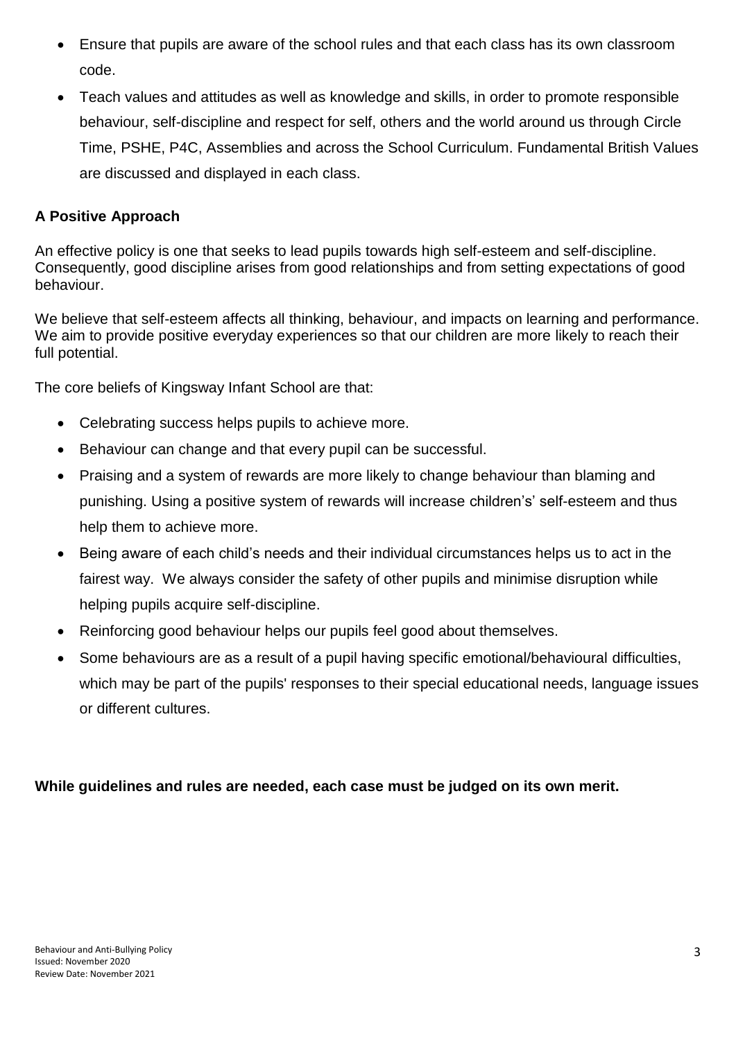- Ensure that pupils are aware of the school rules and that each class has its own classroom code.
- Teach values and attitudes as well as knowledge and skills, in order to promote responsible behaviour, self-discipline and respect for self, others and the world around us through Circle Time, PSHE, P4C, Assemblies and across the School Curriculum. Fundamental British Values are discussed and displayed in each class.

# **A Positive Approach**

An effective policy is one that seeks to lead pupils towards high self-esteem and self-discipline. Consequently, good discipline arises from good relationships and from setting expectations of good behaviour.

We believe that self-esteem affects all thinking, behaviour, and impacts on learning and performance. We aim to provide positive everyday experiences so that our children are more likely to reach their full potential.

The core beliefs of Kingsway Infant School are that:

- Celebrating success helps pupils to achieve more.
- Behaviour can change and that every pupil can be successful.
- Praising and a system of rewards are more likely to change behaviour than blaming and punishing. Using a positive system of rewards will increase children's' self-esteem and thus help them to achieve more.
- Being aware of each child's needs and their individual circumstances helps us to act in the fairest way. We always consider the safety of other pupils and minimise disruption while helping pupils acquire self-discipline.
- Reinforcing good behaviour helps our pupils feel good about themselves.
- Some behaviours are as a result of a pupil having specific emotional/behavioural difficulties, which may be part of the pupils' responses to their special educational needs, language issues or different cultures.

# **While guidelines and rules are needed, each case must be judged on its own merit.**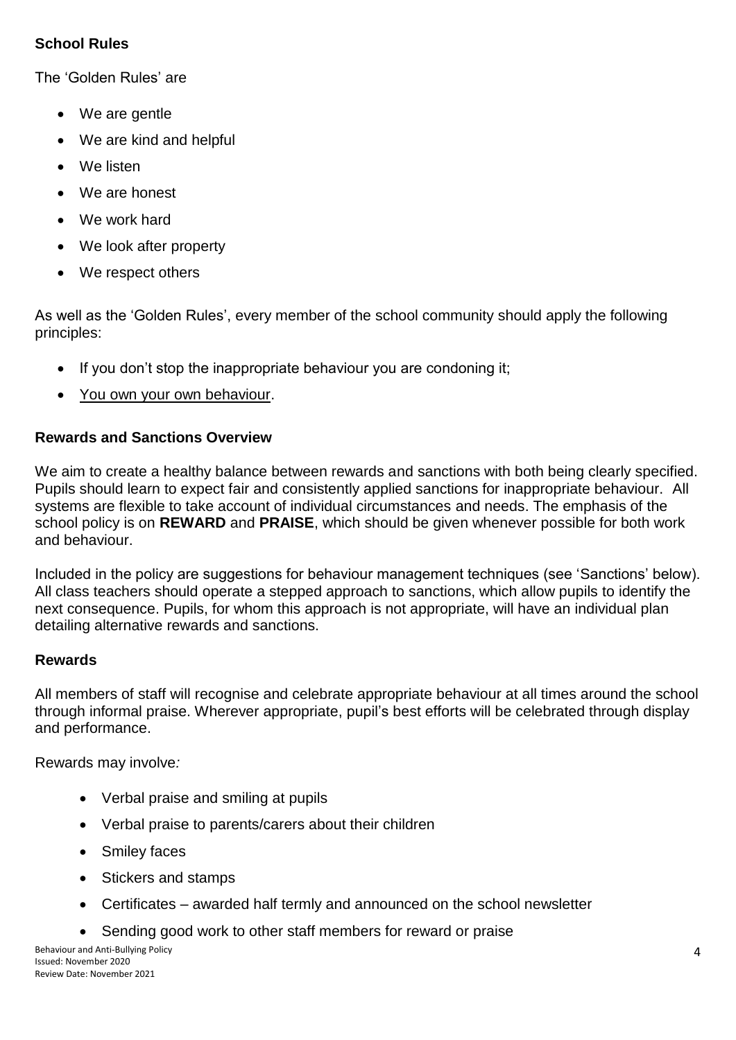# **School Rules**

The 'Golden Rules' are

- We are gentle
- We are kind and helpful
- We listen
- We are honest
- We work hard
- We look after property
- We respect others

As well as the 'Golden Rules', every member of the school community should apply the following principles:

- $\bullet$  If you don't stop the inappropriate behaviour you are condoning it;
- You own your own behaviour.

# **Rewards and Sanctions Overview**

We aim to create a healthy balance between rewards and sanctions with both being clearly specified. Pupils should learn to expect fair and consistently applied sanctions for inappropriate behaviour. All systems are flexible to take account of individual circumstances and needs. The emphasis of the school policy is on **REWARD** and **PRAISE**, which should be given whenever possible for both work and behaviour.

Included in the policy are suggestions for behaviour management techniques (see 'Sanctions' below). All class teachers should operate a stepped approach to sanctions, which allow pupils to identify the next consequence. Pupils, for whom this approach is not appropriate, will have an individual plan detailing alternative rewards and sanctions.

# **Rewards**

All members of staff will recognise and celebrate appropriate behaviour at all times around the school through informal praise. Wherever appropriate, pupil's best efforts will be celebrated through display and performance.

Rewards may involve*:*

- Verbal praise and smiling at pupils
- Verbal praise to parents/carers about their children
- Smiley faces
- Stickers and stamps
- Certificates awarded half termly and announced on the school newsletter
- Sending good work to other staff members for reward or praise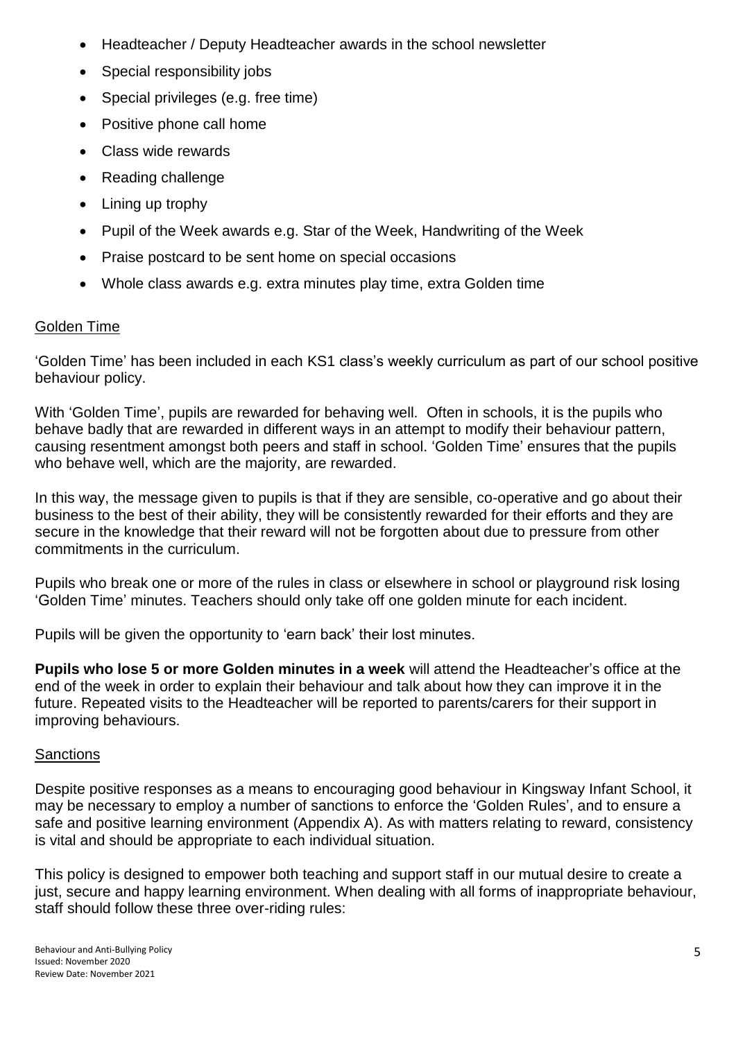- Headteacher / Deputy Headteacher awards in the school newsletter
- Special responsibility jobs
- Special privileges (e.g. free time)
- Positive phone call home
- Class wide rewards
- Reading challenge
- Lining up trophy
- Pupil of the Week awards e.g. Star of the Week, Handwriting of the Week
- Praise postcard to be sent home on special occasions
- Whole class awards e.g. extra minutes play time, extra Golden time

# Golden Time

'Golden Time' has been included in each KS1 class's weekly curriculum as part of our school positive behaviour policy.

With 'Golden Time', pupils are rewarded for behaving well. Often in schools, it is the pupils who behave badly that are rewarded in different ways in an attempt to modify their behaviour pattern, causing resentment amongst both peers and staff in school. 'Golden Time' ensures that the pupils who behave well, which are the majority, are rewarded.

In this way, the message given to pupils is that if they are sensible, co-operative and go about their business to the best of their ability, they will be consistently rewarded for their efforts and they are secure in the knowledge that their reward will not be forgotten about due to pressure from other commitments in the curriculum.

Pupils who break one or more of the rules in class or elsewhere in school or playground risk losing 'Golden Time' minutes. Teachers should only take off one golden minute for each incident.

Pupils will be given the opportunity to 'earn back' their lost minutes.

**Pupils who lose 5 or more Golden minutes in a week** will attend the Headteacher's office at the end of the week in order to explain their behaviour and talk about how they can improve it in the future. Repeated visits to the Headteacher will be reported to parents/carers for their support in improving behaviours.

# **Sanctions**

Despite positive responses as a means to encouraging good behaviour in Kingsway Infant School, it may be necessary to employ a number of sanctions to enforce the 'Golden Rules', and to ensure a safe and positive learning environment (Appendix A). As with matters relating to reward, consistency is vital and should be appropriate to each individual situation.

This policy is designed to empower both teaching and support staff in our mutual desire to create a just, secure and happy learning environment. When dealing with all forms of inappropriate behaviour, staff should follow these three over-riding rules: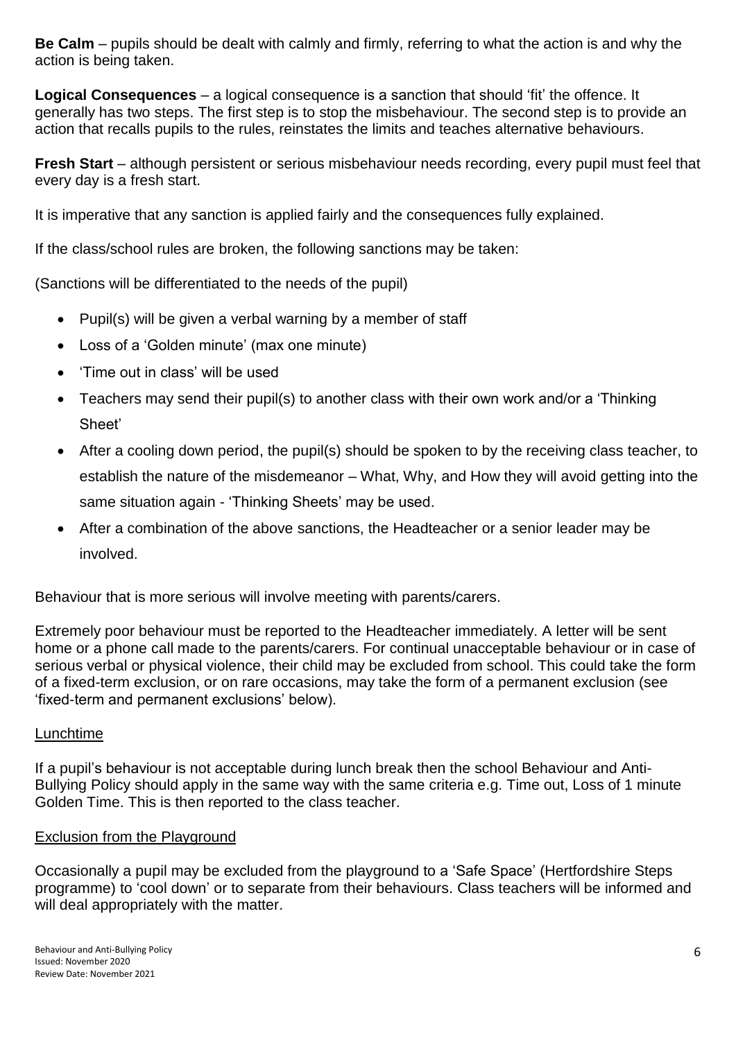**Be Calm** – pupils should be dealt with calmly and firmly, referring to what the action is and why the action is being taken.

**Logical Consequences** – a logical consequence is a sanction that should 'fit' the offence. It generally has two steps. The first step is to stop the misbehaviour. The second step is to provide an action that recalls pupils to the rules, reinstates the limits and teaches alternative behaviours.

**Fresh Start** – although persistent or serious misbehaviour needs recording, every pupil must feel that every day is a fresh start.

It is imperative that any sanction is applied fairly and the consequences fully explained.

If the class/school rules are broken, the following sanctions may be taken:

(Sanctions will be differentiated to the needs of the pupil)

- Pupil(s) will be given a verbal warning by a member of staff
- Loss of a 'Golden minute' (max one minute)
- 'Time out in class' will be used
- Teachers may send their pupil(s) to another class with their own work and/or a 'Thinking Sheet'
- After a cooling down period, the pupil(s) should be spoken to by the receiving class teacher, to establish the nature of the misdemeanor – What, Why, and How they will avoid getting into the same situation again - 'Thinking Sheets' may be used.
- After a combination of the above sanctions, the Headteacher or a senior leader may be involved.

Behaviour that is more serious will involve meeting with parents/carers.

Extremely poor behaviour must be reported to the Headteacher immediately. A letter will be sent home or a phone call made to the parents/carers. For continual unacceptable behaviour or in case of serious verbal or physical violence, their child may be excluded from school. This could take the form of a fixed-term exclusion, or on rare occasions, may take the form of a permanent exclusion (see 'fixed-term and permanent exclusions' below).

#### Lunchtime

If a pupil's behaviour is not acceptable during lunch break then the school Behaviour and Anti-Bullying Policy should apply in the same way with the same criteria e.g. Time out, Loss of 1 minute Golden Time. This is then reported to the class teacher.

#### Exclusion from the Playground

Occasionally a pupil may be excluded from the playground to a 'Safe Space' (Hertfordshire Steps programme) to 'cool down' or to separate from their behaviours. Class teachers will be informed and will deal appropriately with the matter.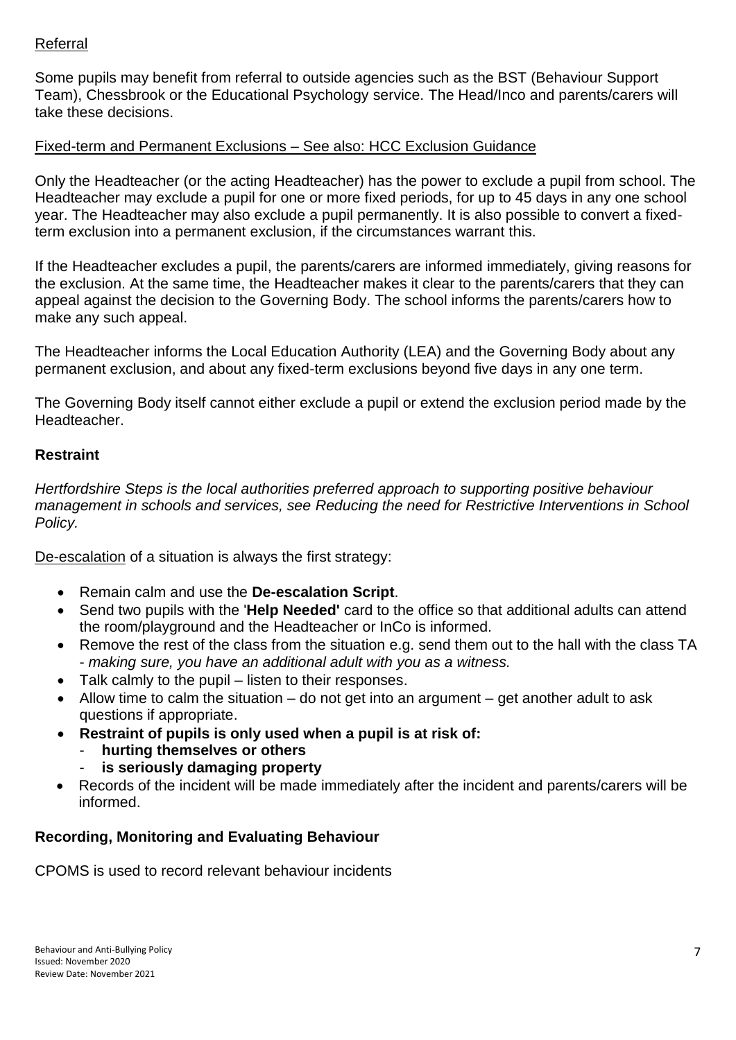# Referral

Some pupils may benefit from referral to outside agencies such as the BST (Behaviour Support Team), Chessbrook or the Educational Psychology service. The Head/Inco and parents/carers will take these decisions.

## Fixed-term and Permanent Exclusions – See also: HCC Exclusion Guidance

Only the Headteacher (or the acting Headteacher) has the power to exclude a pupil from school. The Headteacher may exclude a pupil for one or more fixed periods, for up to 45 days in any one school year. The Headteacher may also exclude a pupil permanently. It is also possible to convert a fixedterm exclusion into a permanent exclusion, if the circumstances warrant this.

If the Headteacher excludes a pupil, the parents/carers are informed immediately, giving reasons for the exclusion. At the same time, the Headteacher makes it clear to the parents/carers that they can appeal against the decision to the Governing Body. The school informs the parents/carers how to make any such appeal.

The Headteacher informs the Local Education Authority (LEA) and the Governing Body about any permanent exclusion, and about any fixed-term exclusions beyond five days in any one term.

The Governing Body itself cannot either exclude a pupil or extend the exclusion period made by the **Headteacher** 

### **Restraint**

*Hertfordshire Steps is the local authorities preferred approach to supporting positive behaviour management in schools and services, see Reducing the need for Restrictive Interventions in School Policy.*

De-escalation of a situation is always the first strategy:

- Remain calm and use the **De-escalation Script**.
- Send two pupils with the '**Help Needed'** card to the office so that additional adults can attend the room/playground and the Headteacher or InCo is informed.
- Remove the rest of the class from the situation e.g. send them out to the hall with the class TA - *making sure, you have an additional adult with you as a witness.*
- Talk calmly to the pupil listen to their responses.
- Allow time to calm the situation do not get into an argument get another adult to ask questions if appropriate.
- **Restraint of pupils is only used when a pupil is at risk of:**
	- **hurting themselves or others**
		- is seriously damaging property
- Records of the incident will be made immediately after the incident and parents/carers will be informed.

# **Recording, Monitoring and Evaluating Behaviour**

CPOMS is used to record relevant behaviour incidents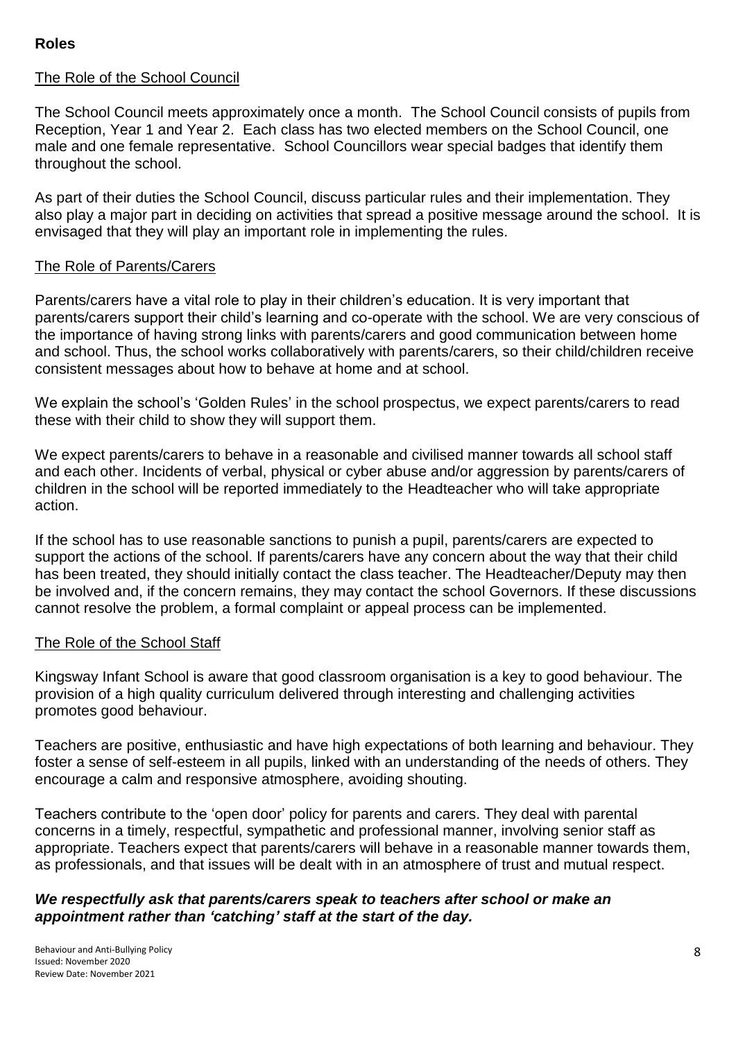## **Roles**

## The Role of the School Council

The School Council meets approximately once a month. The School Council consists of pupils from Reception, Year 1 and Year 2. Each class has two elected members on the School Council, one male and one female representative. School Councillors wear special badges that identify them throughout the school.

As part of their duties the School Council, discuss particular rules and their implementation. They also play a major part in deciding on activities that spread a positive message around the school. It is envisaged that they will play an important role in implementing the rules.

#### The Role of Parents/Carers

Parents/carers have a vital role to play in their children's education. It is very important that parents/carers support their child's learning and co-operate with the school. We are very conscious of the importance of having strong links with parents/carers and good communication between home and school. Thus, the school works collaboratively with parents/carers, so their child/children receive consistent messages about how to behave at home and at school.

We explain the school's 'Golden Rules' in the school prospectus, we expect parents/carers to read these with their child to show they will support them.

We expect parents/carers to behave in a reasonable and civilised manner towards all school staff and each other. Incidents of verbal, physical or cyber abuse and/or aggression by parents/carers of children in the school will be reported immediately to the Headteacher who will take appropriate action.

If the school has to use reasonable sanctions to punish a pupil, parents/carers are expected to support the actions of the school. If parents/carers have any concern about the way that their child has been treated, they should initially contact the class teacher. The Headteacher/Deputy may then be involved and, if the concern remains, they may contact the school Governors. If these discussions cannot resolve the problem, a formal complaint or appeal process can be implemented.

#### The Role of the School Staff

Kingsway Infant School is aware that good classroom organisation is a key to good behaviour. The provision of a high quality curriculum delivered through interesting and challenging activities promotes good behaviour.

Teachers are positive, enthusiastic and have high expectations of both learning and behaviour. They foster a sense of self-esteem in all pupils, linked with an understanding of the needs of others. They encourage a calm and responsive atmosphere, avoiding shouting.

Teachers contribute to the 'open door' policy for parents and carers. They deal with parental concerns in a timely, respectful, sympathetic and professional manner, involving senior staff as appropriate. Teachers expect that parents/carers will behave in a reasonable manner towards them, as professionals, and that issues will be dealt with in an atmosphere of trust and mutual respect.

#### *We respectfully ask that parents/carers speak to teachers after school or make an appointment rather than 'catching' staff at the start of the day.*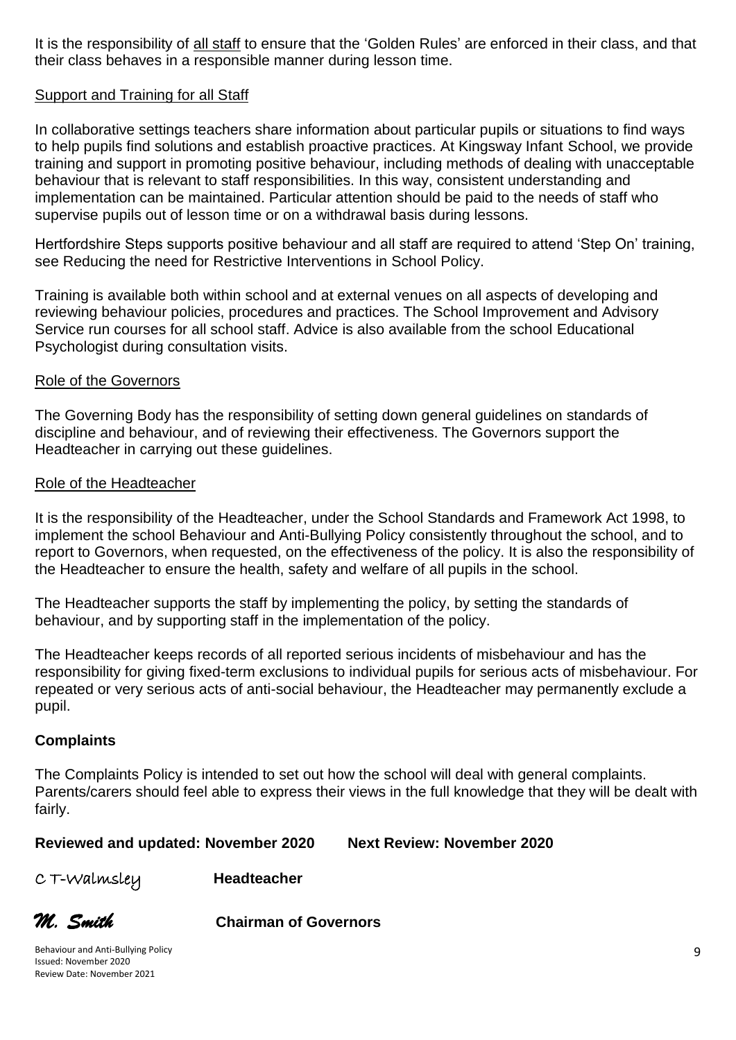It is the responsibility of all staff to ensure that the 'Golden Rules' are enforced in their class, and that their class behaves in a responsible manner during lesson time.

#### Support and Training for all Staff

In collaborative settings teachers share information about particular pupils or situations to find ways to help pupils find solutions and establish proactive practices. At Kingsway Infant School, we provide training and support in promoting positive behaviour, including methods of dealing with unacceptable behaviour that is relevant to staff responsibilities. In this way, consistent understanding and implementation can be maintained. Particular attention should be paid to the needs of staff who supervise pupils out of lesson time or on a withdrawal basis during lessons.

Hertfordshire Steps supports positive behaviour and all staff are required to attend 'Step On' training, see Reducing the need for Restrictive Interventions in School Policy.

Training is available both within school and at external venues on all aspects of developing and reviewing behaviour policies, procedures and practices. The School Improvement and Advisory Service run courses for all school staff. Advice is also available from the school Educational Psychologist during consultation visits.

#### Role of the Governors

The Governing Body has the responsibility of setting down general guidelines on standards of discipline and behaviour, and of reviewing their effectiveness. The Governors support the Headteacher in carrying out these guidelines.

#### Role of the Headteacher

It is the responsibility of the Headteacher, under the School Standards and Framework Act 1998, to implement the school Behaviour and Anti-Bullying Policy consistently throughout the school, and to report to Governors, when requested, on the effectiveness of the policy. It is also the responsibility of the Headteacher to ensure the health, safety and welfare of all pupils in the school.

The Headteacher supports the staff by implementing the policy, by setting the standards of behaviour, and by supporting staff in the implementation of the policy.

The Headteacher keeps records of all reported serious incidents of misbehaviour and has the responsibility for giving fixed-term exclusions to individual pupils for serious acts of misbehaviour. For repeated or very serious acts of anti-social behaviour, the Headteacher may permanently exclude a pupil.

#### **Complaints**

The Complaints Policy is intended to set out how the school will deal with general complaints. Parents/carers should feel able to express their views in the full knowledge that they will be dealt with fairly.

**Reviewed and updated: November 2020 Next Review: November 2020**

C T-Walmsley **Headteacher**

*M. Smith* **Chairman of Governors**